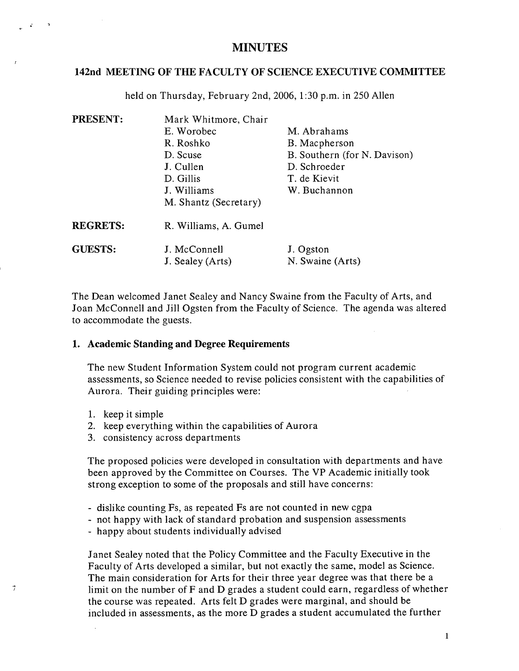# **142nd MEETING OF THE FACULTY OF SCIENCE EXECUTIVE COMMITTEE**

held on Thursday, February 2nd, 2006, 1:30 p.m. in 250 Allen

| PRESENT:        | Mark Whitmore, Chair  |                              |
|-----------------|-----------------------|------------------------------|
|                 | E. Worobec            | M. Abrahams                  |
|                 | R. Roshko             | B. Macpherson                |
|                 | D. Scuse              | B. Southern (for N. Davison) |
|                 | J. Cullen             | D. Schroeder                 |
|                 | D. Gillis             | T. de Kievit                 |
|                 | J. Williams           | W. Buchannon                 |
|                 | M. Shantz (Secretary) |                              |
| <b>REGRETS:</b> | R. Williams, A. Gumel |                              |
| <b>GUESTS:</b>  | J. McConnell          | J. Ogston                    |
|                 | J. Sealey (Arts)      | N. Swaine (Arts)             |

The Dean welcomed Janet Sealey and Nancy Swaine from the Faculty of Arts, and Joan McConnell and Jill Ogsten from the Faculty of Science. The agenda was altered to accommodate the guests.

#### **1. Academic Standing and Degree Requirements**

The new Student Information System could not program current academic assessments, so Science needed to revise policies consistent with the capabilities of Aurora. Their guiding principles were:

1. keep it simple

 $\vec{r}$ 

- 2. keep everything within the capabilities of Aurora
- 3. consistency across departments

The proposed policies were developed in consultation with departments and have been approved by the Committee on Courses. The VP Academic initially took strong exception to some of the proposals and still have concerns:

- dislike counting Fs, as repeated Fs are not counted in new cgpa
- not happy with lack of standard probation and suspension assessments
- happy about students individually advised

Janet Sealey noted that the Policy Committee and the Faculty Executive in the Faculty of Arts developed a similar, but not exactly the same, model as Science. The main consideration for Arts for their three year degree was that there be a limit on the number of F and D grades a student could earn, regardless of whether the course was repeated. Arts felt D grades were marginal, and should be included in assessments, as the more D grades a student accumulated the further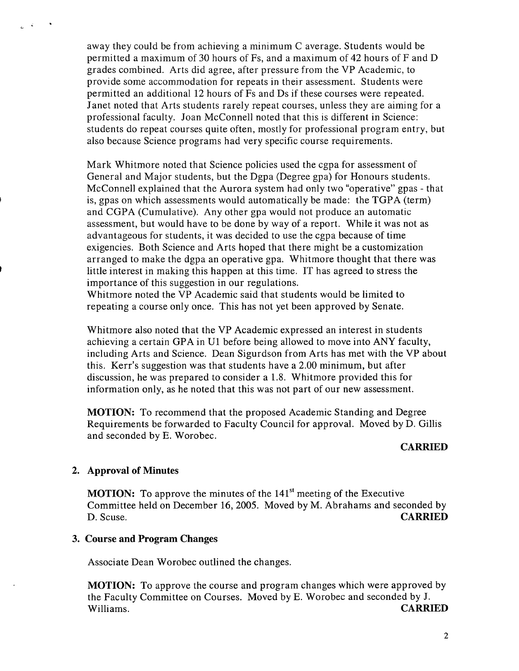away they could be from achieving a minimum C average. Students would be permitted a maximum of 30 hours of Fs, and a maximum of 42 hours of F and D grades combined. Arts did agree, after pressure from the VP Academic, to provide some accommodation for repeats in their assessment. Students were permitted an additional 12 hours of Fs and Ds if these courses were repeated. Janet noted that Arts students rarely repeat courses, unless they are aiming for a professional faculty. Joan McConnell noted that this is different in Science: students do repeat courses quite often, mostly for professional program entry, but also because Science programs had very specific course requirements.

Mark Whitmore noted that Science policies used the cgpa for assessment of General and Major students, but the Dgpa (Degree gpa) for Honours students. McConnell explained that the Aurora system had only two "operative" gpas - that is, gpas on which assessments would automatically be made: the TGPA (term) and CGPA (Cumulative). Any other gpa would not produce an automatic assessment, but would have to be done by way of a report. While it was not as advantageous for students, it was decided to use the cgpa because of time exigencies. Both Science and Arts hoped that there might be a customization arranged to make the dgpa an operative gpa. Whitmore thought that there was little interest in making this happen at this time. IT has agreed to stress the importance of this suggestion in our regulations.

Whitmore noted the VP Academic said that students would be limited to repeating a course only once. This has not yet been approved by Senate.

Whitmore also noted that the VP Academic expressed an interest in students achieving a certain GPA in Ui before being allowed to move into ANY faculty, including Arts and Science. Dean Sigurdson from Arts has met with the VP about this. Kerr's suggestion was that students have a 2.00 minimum, but after discussion, he was prepared to consider a 1.8. Whitmore provided this for information only, as he noted that this was not part of our new assessment.

**MOTION:** To recommend that the proposed Academic Standing and Degree Requirements be forwarded to Faculty Council for approval. Moved by D. Gillis and seconded by E. Worobec.

#### **CARRIED**

### **Approval of Minutes**

**MOTION:** To approve the minutes of the 141<sup>st</sup> meeting of the Executive Committee held on December 16, 2005. Moved by M. Abrahams and seconded by D.Scuse. **CARRIED** 

### **Course and Program Changes**

Associate Dean Worobec outlined the changes.

**MOTION:** To approve the course and program changes which were approved by the Faculty Committee on Courses. Moved by E. Worobec and seconded by J. Williams. **CARRIED**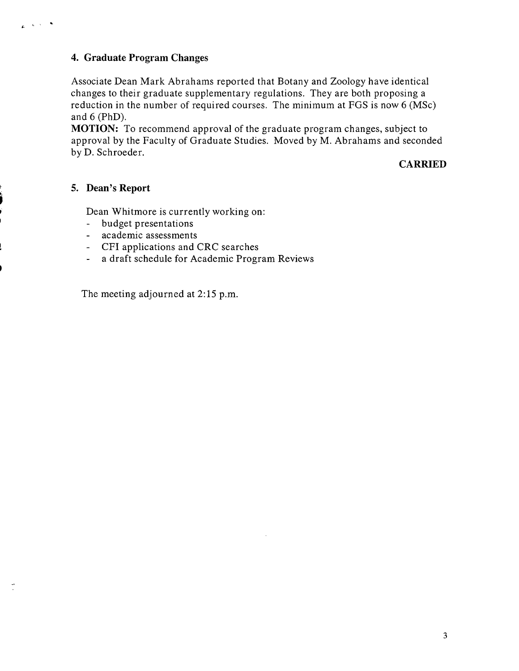# **Graduate Program Changes**

Associate Dean Mark Abrahams reported that Botany and Zoology have identical changes to their graduate supplementary regulations. They are both proposing a reduction in the number of required courses. The minimum at FGS is now 6 (MSc) and 6 (PhD).

**MOTION:** To recommend approval of the graduate program changes, subject to approval by the Faculty of Graduate Studies. Moved by M. Abrahams and seconded by D. Schroeder.

### **CARRIED**

### **Dean's Report**

 $\mathcal{L}_{\mathbf{G}}$  ,  $\mathcal{L}_{\mathbf{G}}$  ,  $\mathcal{L}_{\mathbf{G}}$ 

Dean Whitmore is currently working on:

- budget presentations
- academic assessments
- CFI applications and CRC searches
- a draft schedule for Academic Program Reviews

The meeting adjourned at 2:15 p.m.